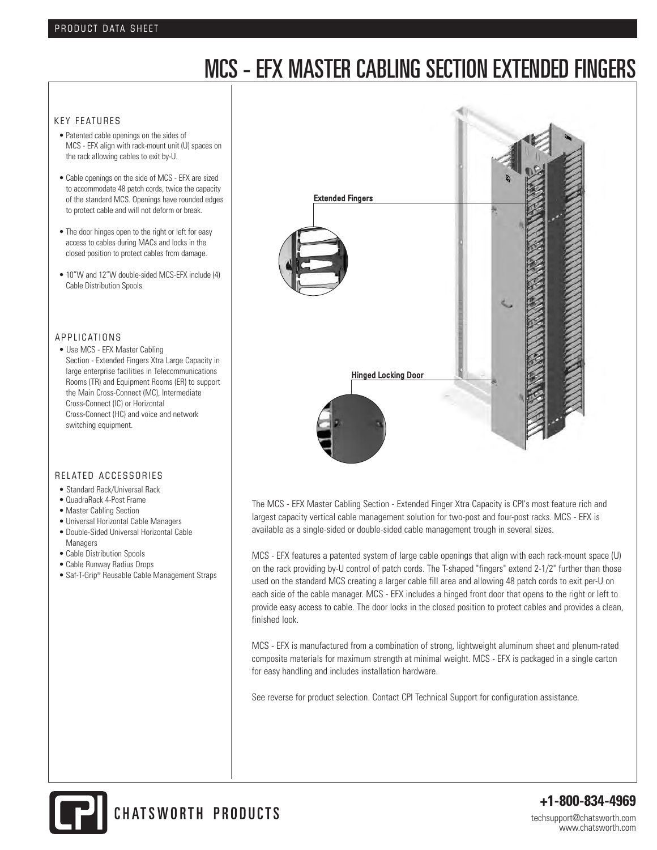# MCS - EFX MASTER CABLING SECTION EXTENDED FINGERS

#### KEY FEATURES

- Patented cable openings on the sides of MCS - EFX align with rack-mount unit (U) spaces on the rack allowing cables to exit by-U.
- Cable openings on the side of MCS EFX are sized to accommodate 48 patch cords, twice the capacity of the standard MCS. Openings have rounded edges to protect cable and will not deform or break.
- The door hinges open to the right or left for easy access to cables during MACs and locks in the closed position to protect cables from damage.
- 10"W and 12"W double-sided MCS-EFX include (4) Cable Distribution Spools.

### A P P LICATIONS

• Use MCS - EFX Master Cabling Section - Extended Fingers Xtra Large Capacity in large enterprise facilities in Telecommunications Rooms (TR) and Equipment Rooms (ER) to support the Main Cross-Connect (MC), Intermediate Cross-Connect (IC) or Horizontal Cross-Connect (HC) and voice and network switching equipment.

#### RELATED ACCESSORIES

- Standard Rack/Universal Rack
- QuadraRack 4-Post Frame
- Master Cabling Section
- Universal Horizontal Cable Managers
- Double-Sided Universal Horizontal Cable Managers
- Cable Distribution Spools
- Cable Runway Radius Drops
- Saf-T-Grip® Reusable Cable Management Straps



The MCS - EFX Master Cabling Section - Extended Finger Xtra Capacity is CPI's most feature rich and largest capacity vertical cable management solution for two-post and four-post racks. MCS - EFX is available as a single-sided or double-sided cable management trough in several sizes.

MCS - EFX features a patented system of large cable openings that align with each rack-mount space (U) on the rack providing by-U control of patch cords. The T-shaped "fingers" extend 2-1/2" further than those used on the standard MCS creating a larger cable fill area and allowing 48 patch cords to exit per-U on each side of the cable manager. MCS - EFX includes a hinged front door that opens to the right or left to provide easy access to cable. The door locks in the closed position to protect cables and provides a clean, finished look.

MCS - EFX is manufactured from a combination of strong, lightweight aluminum sheet and plenum-rated composite materials for maximum strength at minimal weight. MCS - EFX is packaged in a single carton for easy handling and includes installation hardware.

See reverse for product selection. Contact CPI Technical Support for configuration assistance.



**+1-800-834-4969**

techsupport@chatsworth.com www.chatsworth.com